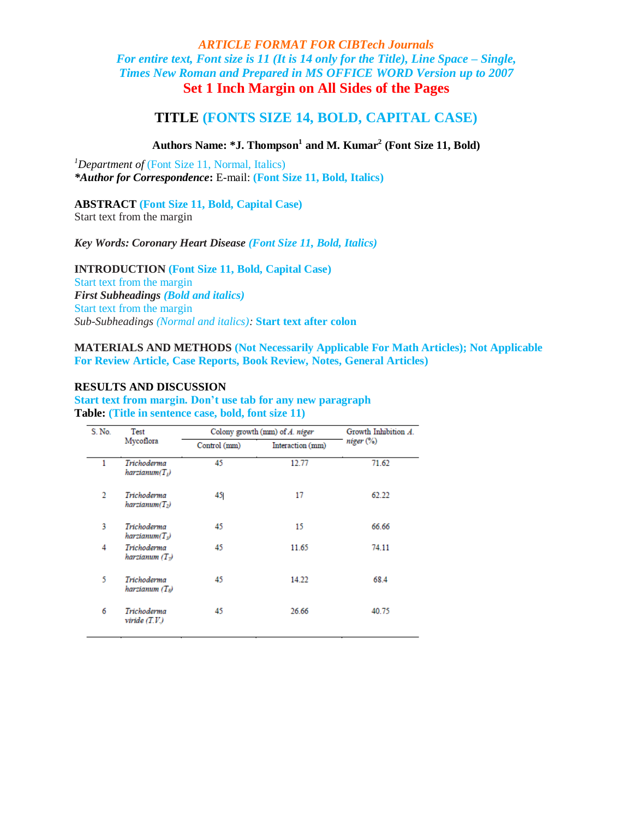# *ARTICLE FORMAT FOR CIBTech Journals For entire text, Font size is 11 (It is 14 only for the Title), Line Space – Single, Times New Roman and Prepared in MS OFFICE WORD Version up to 2007* **Set 1 Inch Margin on All Sides of the Pages**

# **TITLE (FONTS SIZE 14, BOLD, CAPITAL CASE)**

## **Authors Name: \*J. Thompson<sup>1</sup> and M. Kumar<sup>2</sup> (Font Size 11, Bold)**

<sup>1</sup>Department of (Font Size 11, Normal, Italics) *\*Author for Correspondence***:** E-mail: **(Font Size 11, Bold, Italics)**

#### **ABSTRACT (Font Size 11, Bold, Capital Case)**

Start text from the margin

### *Key Words: Coronary Heart Disease (Font Size 11, Bold, Italics)*

**INTRODUCTION (Font Size 11, Bold, Capital Case)** Start text from the margin *First Subheadings (Bold and italics)* Start text from the margin

*Sub-Subheadings (Normal and italics):* **Start text after colon**

**MATERIALS AND METHODS (Not Necessarily Applicable For Math Articles); Not Applicable For Review Article, Case Reports, Book Review, Notes, General Articles)**

## **RESULTS AND DISCUSSION**

### **Start text from margin. Don't use tab for any new paragraph Table: (Title in sentence case, bold, font size 11)**

| S. No.         | Test<br>Mycoflora                     | Colony growth (mm) of A. niger |                  | Growth Inhibition A. |
|----------------|---------------------------------------|--------------------------------|------------------|----------------------|
|                |                                       | Control (mm)                   | Interaction (mm) | niger %              |
| 1              | Trichoderma<br>$harziamum(T_i)$       | 45                             | 12.77            | 71.62                |
| $\mathfrak{D}$ | Trichoderma<br>$harziamum(T_2)$       | 45                             | 17               | 62.22                |
| 3              | Trichoderma<br>harziamum(T)           | 45                             | 15               | 66.66                |
| 4              | Trichoderma<br>harzianum $(T_{\eta})$ | 45                             | 11.65            | 74.11                |
| 5              | Trichoderma<br>harzianum (Ts)         | 45                             | 14.22            | 68.4                 |
| 6              | Trichoderma<br>viride(T.V.)           | 45                             | 26.66            | 40.75                |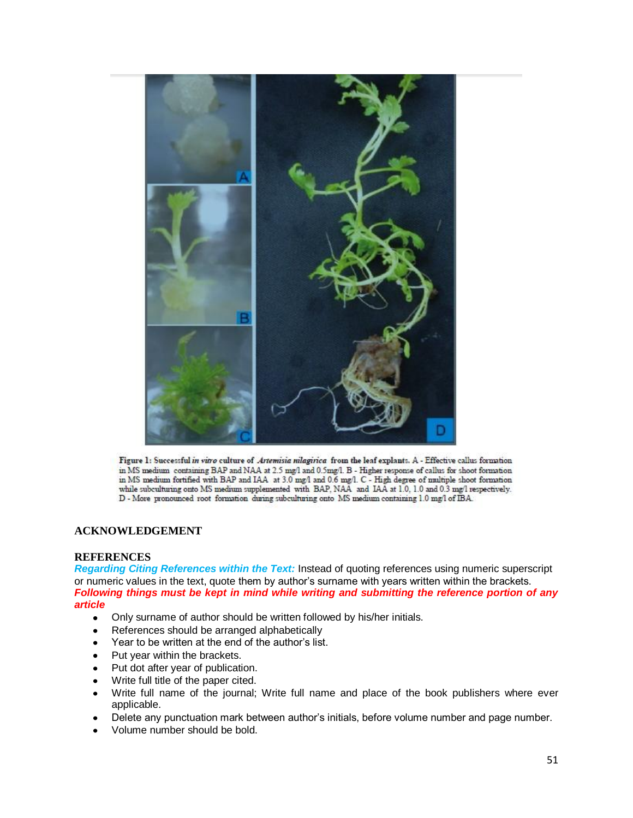

Figure 1: Successful in vitro culture of Artemisia nilagirica from the leaf explants. A - Effective callus formation in MS medium containing BAP and NAA at 2.5 mg/l and 0.5 mg/l. B - Higher response of callus for shoot formation in MS medium fortified with BAP and IAA at 3.0 mg/l and 0.6 mg/l. C - High degree of multiple shoot formation while subculturing onto MS medium supplemented with BAP, NAA and IAA at 1.0, 1.0 and 0.3 mg/l respectively. D - More pronounced root formation during subculturing onto MS medium containing 1.0 mg/l of IBA.

## **ACKNOWLEDGEMENT**

### **REFERENCES**

*Regarding Citing References within the Text:* Instead of quoting references using numeric superscript or numeric values in the text, quote them by author's surname with years written within the brackets. *Following things must be kept in mind while writing and submitting the reference portion of any article*

- Only surname of author should be written followed by his/her initials.
- References should be arranged alphabetically
- Year to be written at the end of the author's list.
- Put year within the brackets.
- Put dot after year of publication.
- Write full title of the paper cited.  $\bullet$
- Write full name of the journal; Write full name and place of the book publishers where ever  $\bullet$ applicable.
- Delete any punctuation mark between author's initials, before volume number and page number.
- Volume number should be bold.